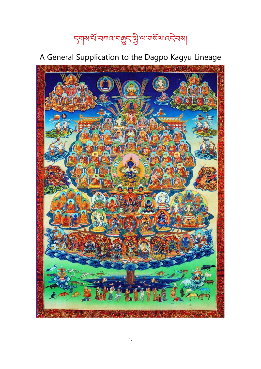# ন্মৰাম'ৰ্য'নশাৰ'নক্কুন'ষ্ট্ৰ'ণ'মাৰ্মল'ৰেনী

# A General Supplication to the Dagpo Kagyu Lineage

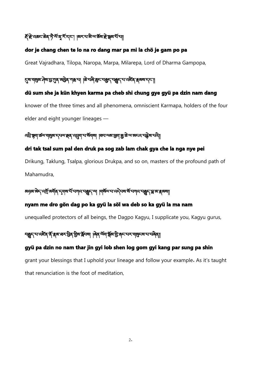# ই ব্রিক্রন ক্রি' দৃ শিত্র হাঁদান। অসাথা মাজৰা ক্রিয়া দিয়া।

#### dor je chang chen te lo na ro dang mar pa mi la chö je gam po pa

Great Vajradhara, Tilopa, Naropa, Marpa, Milarepa, Lord of Dharma Gampopa,

# ্ষেত্র্যমুখ্য দ্রিং মুট্রের আরু মারা না। ক্রিন্দ্রই বর্জুন বর্জুন বর্তমান্ত্র স্বরুষ দেশ।

#### dü sum she ja kün khyen karma pa cheb shi chung gye gyü pa dzin nam dang

knower of the three times and all phenomena, omniscient Karmapa, holders of the four elder and eight younger lineages —

# ব্দ্রীস্কুমার্স্তমান্মুজান্দমেশ্রুষ্ক্রাব্দ্রুমানার্মমান্মা |ব্রনাম্মান্ত্রাক্ত্রাম্ব্য ক্রান্সামান্ত্রা ক্রিয

#### dri tak tsal sum pal den druk pa sog zab lam chak gya che la nga nye pei

Drikung, Taklung, Tsalpa, glorious Drukpa, and so on, masters of the profound path of Mahamudra,

#### अज़ॖबाबेन् दर्भो बर्गव् न्यूणबार्ये नगद नक्कुन् आ । पार्षेत्र नादने नबार्षे नगद नक्कुन् म्ला ब्रब्स

#### nyam me dro gön dag po ka gyü la söl wa deb so ka gyü la ma nam

unequalled protectors of all beings, the Dagpo Kagyu, I supplicate you, Kagyu gurus,

# ন্ধ্ৰুন্ম্ম্বাই ব্যাগ্ৰাম্ব্য ব্যাগ্ৰাম্ব্য ব্যাগ্ৰাম্ব্য বিশ্বতাৰ দিব বিশ্বতাৰ বিশ্বতাৰ বিশ্বতাৰ বিশ্বতাৰ বি

#### gyü pa dzin no nam thar jin gyi lob shen log gom gyi kang par sung pa shin

grant your blessings that I uphold your lineage and follow your example. As it's taught that renunciation is the foot of meditation,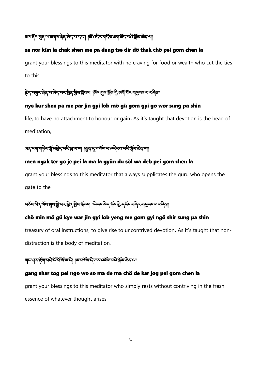# ≡ম হঁম শ্ৰেষ সম্পাত্ত বিষ্ণা আৰু বিষ্ণা বিষ্ণা বিষ্ণা বিষ্ণা বিষ্ণা বিষ্ণা বিষ্ণা বিষ্ণা বি

#### ze nor kün la chak shen me pa dang tse dir dö thak chö pei gom chen la

grant your blessings to this meditator with no craving for food or wealth who cut the ties to this

# क्लेन् न्युम् लेव् न्य अन्य स्टुड्रेन् भुष्य क्लेन्था । अब सुष क्लेश्च अर्था मेरू महान्य न्य लेव्

#### nye kur shen pa me par jin gyi lob mö gü gom gyi go wor sung pa shin

life, to have no attachment to honour or gain. As it's taught that devotion is the head of meditation,

# अव्यान्यान् के अग्निन्दा अक्षर का अन्य क्षेत्र स्था । अन्य स्थान अक्षर का अन्य का अन्य का अन्य

#### men ngak ter go je pei la ma la gyün du söl wa deb pei gom chen la

grant your blessings to this meditator that always supplicates the guru who opens the gate to the

# ¤র্ডরাজীর্ণর্সরামান্ত্রীসমান্তির অ্রীরার্স্কিনরা । অিনরাজনারীরাস্থীদর্শরাজীরাস্থানের নারীরা।

#### chö min mö gü kye war jin gyi lob yeng me gom gyi ngö shir sung pa shin

treasury of oral instructions, to give rise to uncontrived devotion. As it's taught that nondistraction is the body of meditation,

# গ্মন্দ্ৰ্ম্ব্দ্ৰ্জিশ্মন্দ্ৰ্ম্ব্ৰ্জিয় কৰি আৰু বিজেপি সামৰ বিজেপি আৰু বিজেপি আৰু

#### gang shar tog pei ngo wo so ma de ma chö de kar jog pei gom chen la

grant your blessings to this meditator who simply rests without contriving in the fresh essence of whatever thought arises,